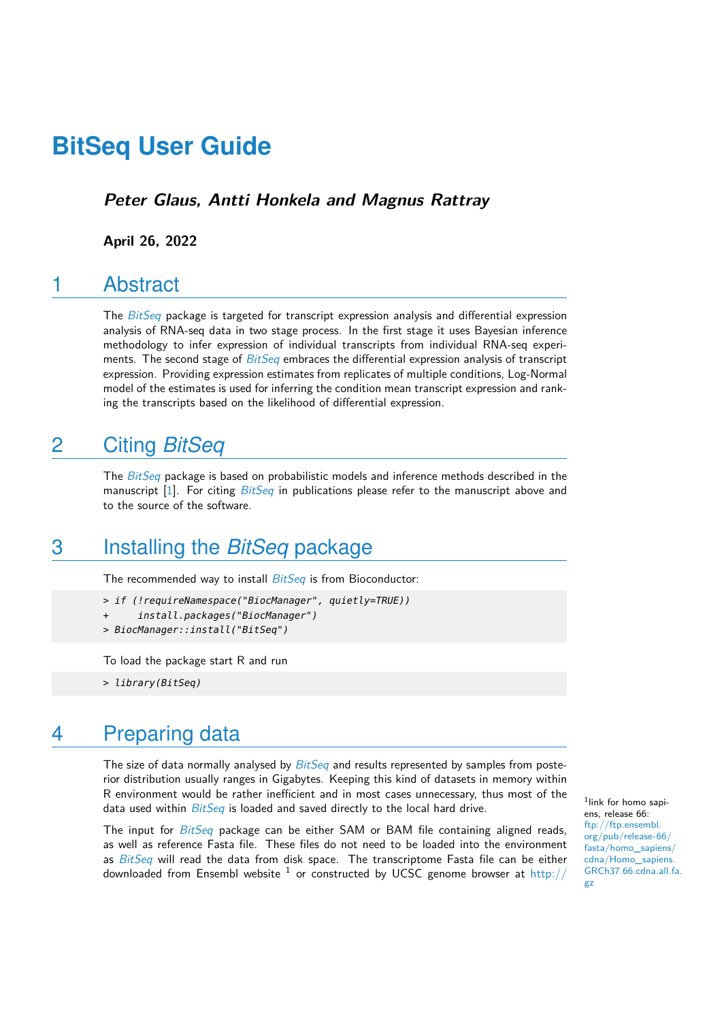**Peter Glaus, Antti Honkela and Magnus Rattray**

**April 26, 2022**

### 1 Abstract

The [BitSeq](http://bioconductor.org/packages/BitSeq) package is targeted for transcript expression analysis and differential expression analysis of RNA-seq data in two stage process. In the first stage it uses Bayesian inference methodology to infer expression of individual transcripts from individual RNA-seq experi-ments. The second stage of [BitSeq](http://bioconductor.org/packages/BitSeq) embraces the differential expression analysis of transcript expression. Providing expression estimates from replicates of multiple conditions, Log-Normal model of the estimates is used for inferring the condition mean transcript expression and ranking the transcripts based on the likelihood of differential expression.

## 2 Citing *[BitSeq](http://bioconductor.org/packages/BitSeq)*

The  $BitSeq$  package is based on probabilistic models and inference methods described in the manuscript  $[1]$ . For citing  $BitsEq$  in publications please refer to the manuscript above and to the source of the software.

## 3 Installing the *[BitSeq](http://bioconductor.org/packages/BitSeq)* package

The recommended way to install *[BitSeq](http://bioconductor.org/packages/BitSeq)* is from Bioconductor:

- > if (!requireNamespace("BiocManager", quietly=TRUE))
- + install.packages("BiocManager")
- > BiocManager::install("BitSeq")

To load the package start R and run

> library(BitSeq)

## 4 Preparing data

The size of data normally analysed by  $BitSeq$  and results represented by samples from posterior distribution usually ranges in Gigabytes. Keeping this kind of datasets in memory within R environment would be rather inefficient and in most cases unnecessary, thus most of the data used within *[BitSeq](http://bioconductor.org/packages/BitSeq)* is loaded and saved directly to the local hard drive.

The input for  $BitSeq$  package can be either SAM or BAM file containing aligned reads, as well as reference Fasta file. These files do not need to be loaded into the environment as  $BitSeq$  will read the data from disk space. The transcriptome Fasta file can be either downloaded from Ensembl website  $^1$  or constructed by UCSC genome browser at [http://](http://genome.ucsc.edu/cgi-bin/hgTables)

1 link for homo sapiens, release 66: [ftp://ftp.ensembl.](ftp://ftp.ensembl.org/pub/release-66/fasta/homo_sapiens/cdna/Homo_sapiens.GRCh37.66.cdna.all.fa.gz) [org/pub/release-66/](ftp://ftp.ensembl.org/pub/release-66/fasta/homo_sapiens/cdna/Homo_sapiens.GRCh37.66.cdna.all.fa.gz) [fasta/homo\\_sapiens/](ftp://ftp.ensembl.org/pub/release-66/fasta/homo_sapiens/cdna/Homo_sapiens.GRCh37.66.cdna.all.fa.gz) [cdna/Homo\\_sapiens.](ftp://ftp.ensembl.org/pub/release-66/fasta/homo_sapiens/cdna/Homo_sapiens.GRCh37.66.cdna.all.fa.gz) [GRCh37.66.cdna.all.fa.](ftp://ftp.ensembl.org/pub/release-66/fasta/homo_sapiens/cdna/Homo_sapiens.GRCh37.66.cdna.all.fa.gz) [gz](ftp://ftp.ensembl.org/pub/release-66/fasta/homo_sapiens/cdna/Homo_sapiens.GRCh37.66.cdna.all.fa.gz)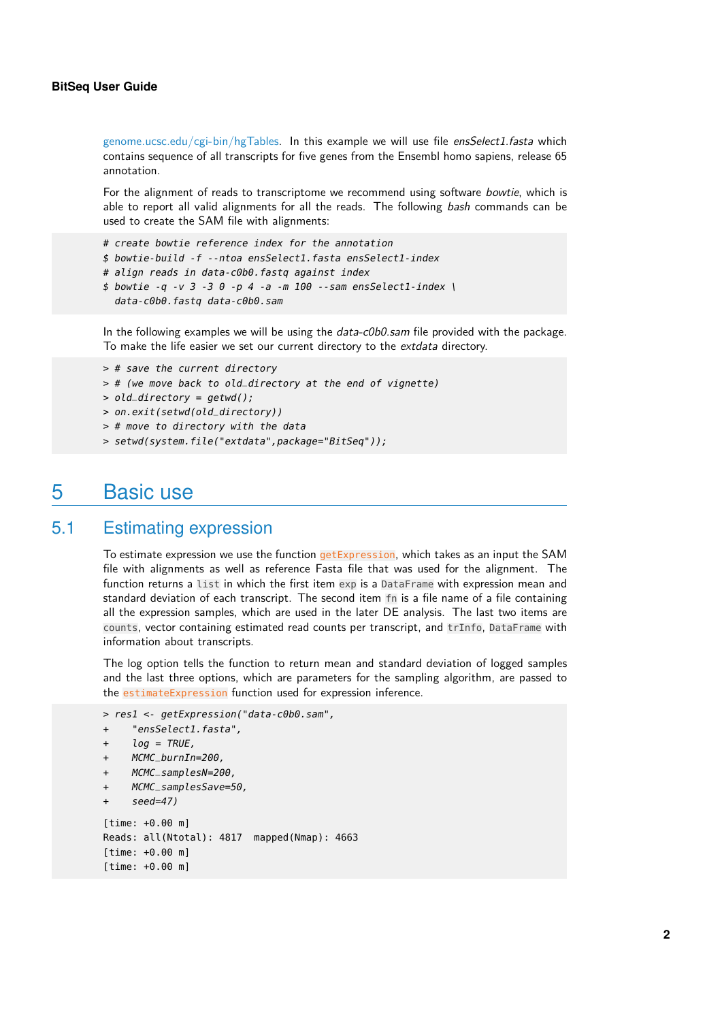[genome.ucsc.edu/cgi-bin/hgTables. In this example we will use file](http://genome.ucsc.edu/cgi-bin/hgTables) ensSelect1.fasta which contains sequence of all transcripts for five genes from the Ensembl homo sapiens, release 65 annotation.

For the alignment of reads to transcriptome we recommend using software bowtie, which is able to report all valid alignments for all the reads. The following bash commands can be used to create the SAM file with alignments:

- # create bowtie reference index for the annotation
- \$ bowtie-build -f --ntoa ensSelect1.fasta ensSelect1-index
- # align reads in data-c0b0.fastq against index
- \$ bowtie -q -v 3 -3 0 -p 4 -a -m 100 --sam ensSelect1-index \ data-c0b0.fastq data-c0b0.sam

In the following examples we will be using the *data-c0b0.sam* file provided with the package. To make the life easier we set our current directory to the extdata directory.

```
> # save the current directory
```
- > # (we move back to old\_directory at the end of vignette)
- > old\_directory = getwd();
- > on.exit(setwd(old\_directory))
- > # move to directory with the data
- > setwd(system.file("extdata",package="BitSeq"));

### 5 Basic use

#### 5.1 Estimating expression

To estimate expression we use the function **getExpression**, which takes as an input the SAM file with alignments as well as reference Fasta file that was used for the alignment. The function returns a list in which the first item exp is a DataFrame with expression mean and standard deviation of each transcript. The second item fn is a file name of a file containing all the expression samples, which are used in the later DE analysis. The last two items are counts, vector containing estimated read counts per transcript, and trInfo, DataFrame with information about transcripts.

The log option tells the function to return mean and standard deviation of logged samples and the last three options, which are parameters for the sampling algorithm, are passed to the estimateExpression function used for expression inference.

```
> res1 <- getExpression("data-c0b0.sam",
```

```
+ "ensSelect1.fasta",
```

```
log = TRUE,
```

```
MCMC_burnIn=200,
```

```
MCMC_samplesN=200,
```

```
+ MCMC_samplesSave=50,
```

```
seed=47)
```

```
[time: +0.00 m]
Reads: all(Ntotal): 4817 mapped(Nmap): 4663
[time: +0.00 m]
[time: +0.00 m]
```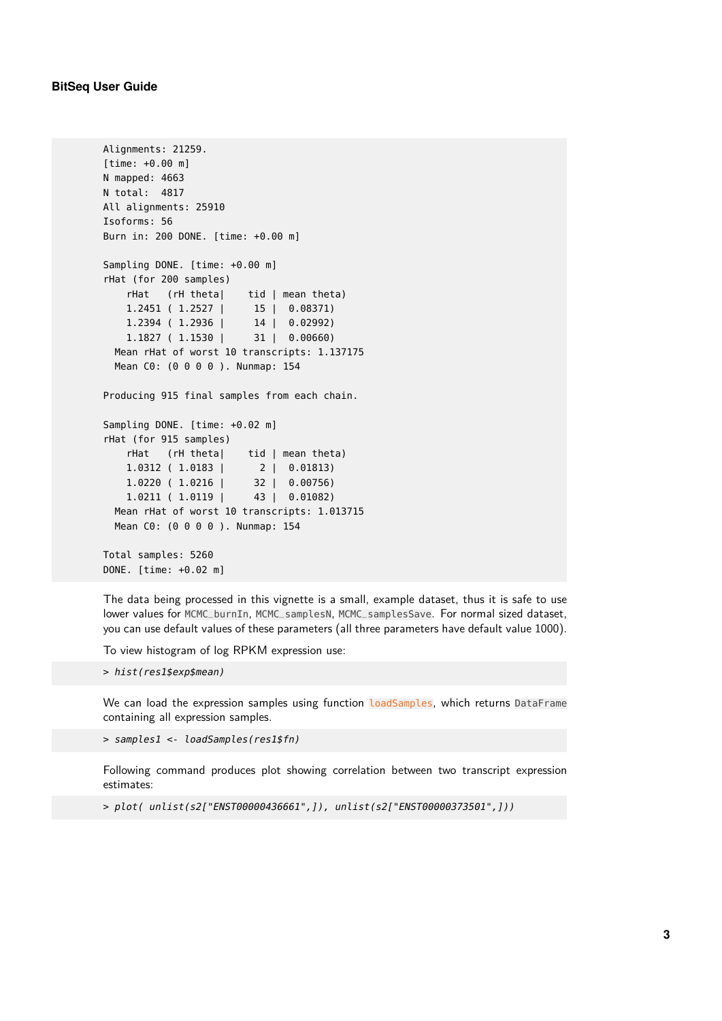```
Alignments: 21259.
[time: +0.00 m]
N mapped: 4663
N total: 4817
All alignments: 25910
Isoforms: 56
Burn in: 200 DONE. [time: +0.00 m]
Sampling DONE. [time: +0.00 m]
rHat (for 200 samples)
   rHat (rH theta| tid | mean theta)
   1.2451 ( 1.2527 | 15 | 0.08371)
   1.2394 ( 1.2936 | 14 | 0.02992)
   1.1827 ( 1.1530 | 31 | 0.00660)
 Mean rHat of worst 10 transcripts: 1.137175
 Mean C0: (0 0 0 0 ). Nunmap: 154
Producing 915 final samples from each chain.
Sampling DONE. [time: +0.02 m]
rHat (for 915 samples)
   rHat (rH theta| tid | mean theta)
   1.0312 ( 1.0183 | 2 | 0.01813)
   1.0220 ( 1.0216 | 32 | 0.00756)
   1.0211 ( 1.0119 | 43 | 0.01082)
 Mean rHat of worst 10 transcripts: 1.013715
 Mean C0: (0 0 0 0 ). Nunmap: 154
Total samples: 5260
DONE. [time: +0.02 m]
```
The data being processed in this vignette is a small, example dataset, thus it is safe to use lower values for MCMC\_burnIn, MCMC\_samplesN, MCMC\_samplesSave. For normal sized dataset, you can use default values of these parameters (all three parameters have default value 1000).

To view histogram of log RPKM expression use:

> hist(res1\$exp\$mean)

We can load the expression samples using function loadSamples, which returns DataFrame containing all expression samples.

> samples1 <- loadSamples(res1\$fn)

Following command produces plot showing correlation between two transcript expression estimates:

> plot( unlist(s2["ENST00000436661",]), unlist(s2["ENST00000373501",]))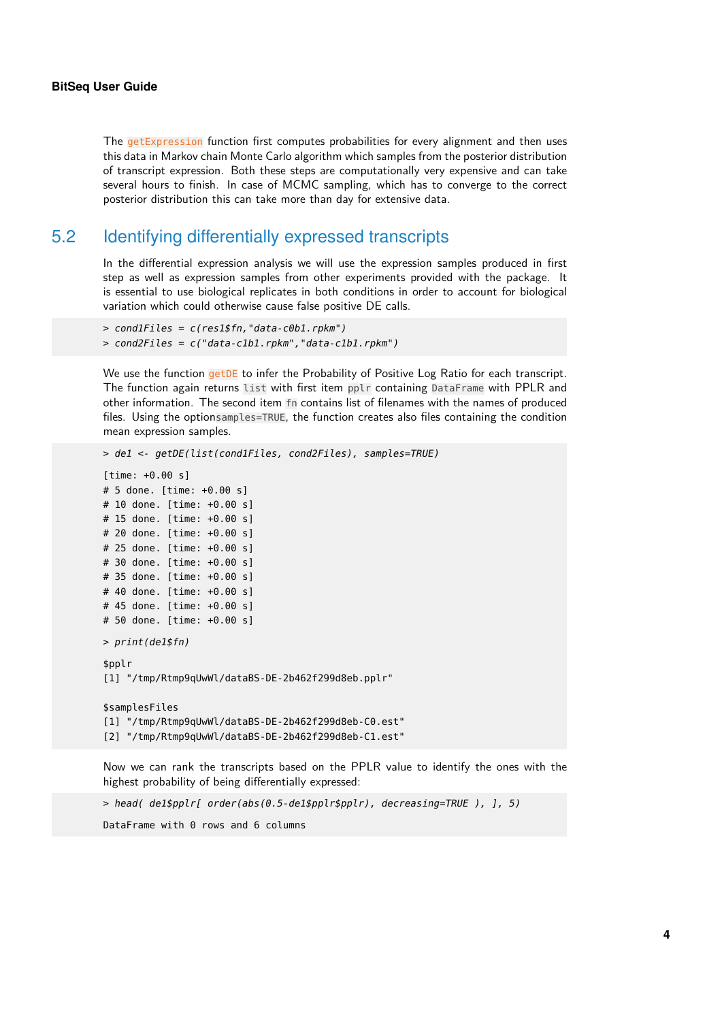The getExpression function first computes probabilities for every alignment and then uses this data in Markov chain Monte Carlo algorithm which samples from the posterior distribution of transcript expression. Both these steps are computationally very expensive and can take several hours to finish. In case of MCMC sampling, which has to converge to the correct posterior distribution this can take more than day for extensive data.

### 5.2 Identifying differentially expressed transcripts

In the differential expression analysis we will use the expression samples produced in first step as well as expression samples from other experiments provided with the package. It is essential to use biological replicates in both conditions in order to account for biological variation which could otherwise cause false positive DE calls.

```
> cond1Files = c(res1$fn,"data-c0b1.rpkm")
> cond2Files = c("data-c1b1.rpkm","data-c1b1.rpkm")
```
We use the function getDE to infer the Probability of Positive Log Ratio for each transcript. The function again returns list with first item pplr containing DataFrame with PPLR and other information. The second item fn contains list of filenames with the names of produced files. Using the optionsamples=TRUE, the function creates also files containing the condition mean expression samples.

```
> de1 <- getDE(list(cond1Files, cond2Files), samples=TRUE)
[time: +0.00 s]
# 5 done. [time: +0.00 s]
# 10 done. [time: +0.00 s]
# 15 done. [time: +0.00 s]
# 20 done. [time: +0.00 s]
# 25 done. [time: +0.00 s]
# 30 done. [time: +0.00 s]
# 35 done. [time: +0.00 s]
# 40 done. [time: +0.00 s]
# 45 done. [time: +0.00 s]
# 50 done. [time: +0.00 s]
> print(de1$fn)
$pplr
[1] "/tmp/Rtmp9qUwWl/dataBS-DE-2b462f299d8eb.pplr"
$samplesFiles
[1] "/tmp/Rtmp9qUwWl/dataBS-DE-2b462f299d8eb-C0.est"
[2] "/tmp/Rtmp9qUwWl/dataBS-DE-2b462f299d8eb-C1.est"
```
Now we can rank the transcripts based on the PPLR value to identify the ones with the highest probability of being differentially expressed:

> head( de1\$pplr[ order(abs(0.5-de1\$pplr\$pplr), decreasing=TRUE ), ], 5)

DataFrame with 0 rows and 6 columns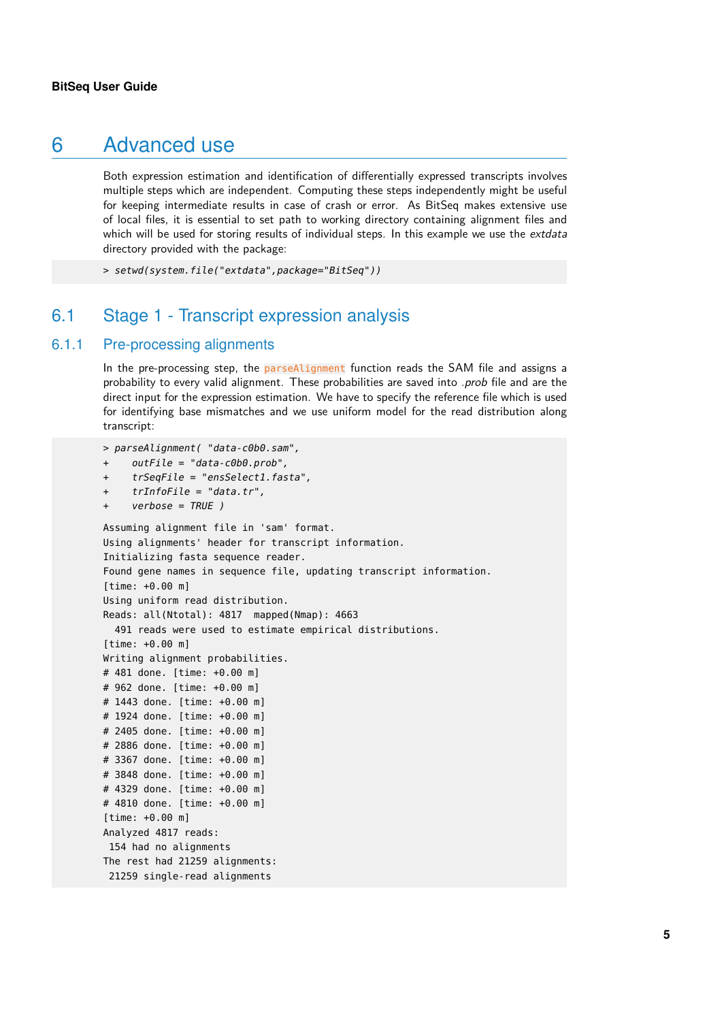### 6 Advanced use

Both expression estimation and identification of differentially expressed transcripts involves multiple steps which are independent. Computing these steps independently might be useful for keeping intermediate results in case of crash or error. As BitSeq makes extensive use of local files, it is essential to set path to working directory containing alignment files and which will be used for storing results of individual steps. In this example we use the extdata directory provided with the package:

> setwd(system.file("extdata",package="BitSeq"))

### 6.1 Stage 1 - Transcript expression analysis

#### 6.1.1 Pre-processing alignments

In the pre-processing step, the parseAlignment function reads the SAM file and assigns a probability to every valid alignment. These probabilities are saved into .prob file and are the direct input for the expression estimation. We have to specify the reference file which is used for identifying base mismatches and we use uniform model for the read distribution along transcript:

```
> parseAlignment( "data-c0b0.sam",
+ outFile = "data-c0b0.prob",
```

```
+ trSeqFile = "ensSelect1.fasta",
```

```
trInfoFile = "data.tr",
```

```
verbose = TRUE )
```

```
Assuming alignment file in 'sam' format.
Using alignments' header for transcript information.
Initializing fasta sequence reader.
Found gene names in sequence file, updating transcript information.
[time: +0.00 m]
Using uniform read distribution.
Reads: all(Ntotal): 4817 mapped(Nmap): 4663
 491 reads were used to estimate empirical distributions.
[time: +0.00 m]
Writing alignment probabilities.
# 481 done. [time: +0.00 m]
# 962 done. [time: +0.00 m]
# 1443 done. [time: +0.00 m]
# 1924 done. [time: +0.00 m]
# 2405 done. [time: +0.00 m]
# 2886 done. [time: +0.00 m]
# 3367 done. [time: +0.00 m]
# 3848 done. [time: +0.00 m]
# 4329 done. [time: +0.00 m]
# 4810 done. [time: +0.00 m]
[time: +0.00 m]
Analyzed 4817 reads:
154 had no alignments
The rest had 21259 alignments:
21259 single-read alignments
```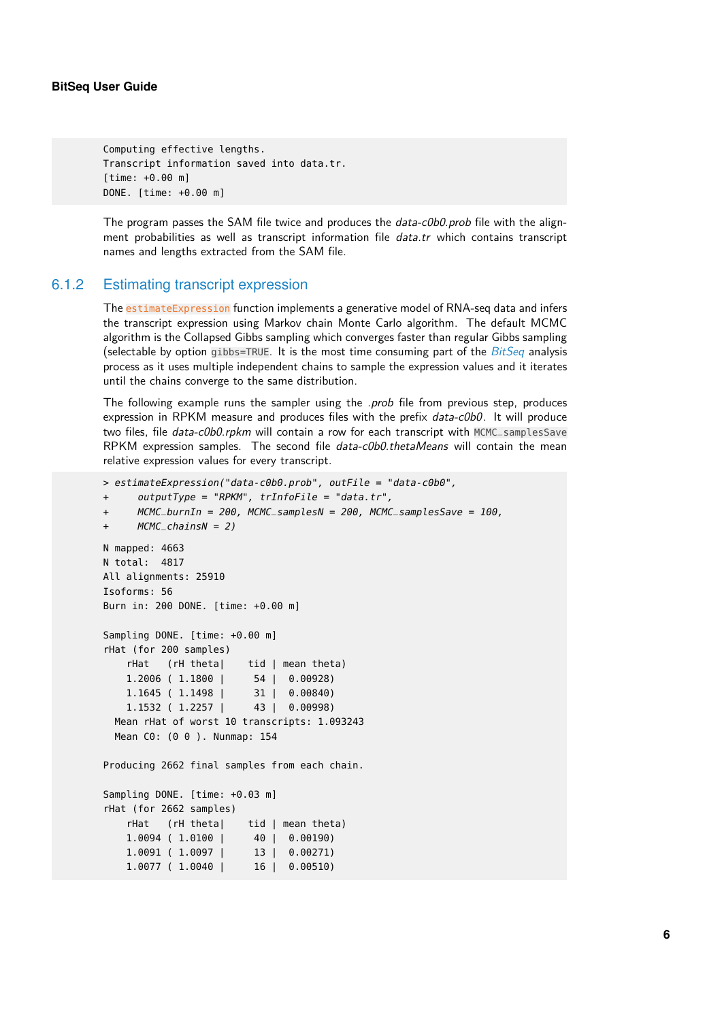```
Computing effective lengths.
Transcript information saved into data.tr.
[time: +0.00 m]
DONE. [time: +0.00 m]
```
The program passes the SAM file twice and produces the *data-c0b0.prob* file with the alignment probabilities as well as transcript information file data.tr which contains transcript names and lengths extracted from the SAM file.

#### 6.1.2 Estimating transcript expression

The estimateExpression function implements a generative model of RNA-seq data and infers the transcript expression using Markov chain Monte Carlo algorithm. The default MCMC algorithm is the Collapsed Gibbs sampling which converges faster than regular Gibbs sampling (selectable by option gibbs=TRUE. It is the most time consuming part of the  $BitSeq$  analysis process as it uses multiple independent chains to sample the expression values and it iterates until the chains converge to the same distribution.

The following example runs the sampler using the .prob file from previous step, produces expression in RPKM measure and produces files with the prefix data-c0b0. It will produce two files, file data-c0b0.rpkm will contain a row for each transcript with MCMC\_samplesSave RPKM expression samples. The second file data-c0b0.thetaMeans will contain the mean relative expression values for every transcript.

```
> estimateExpression("data-c0b0.prob", outFile = "data-c0b0",
+ outputType = "RPKM", trInfoFile = "data.tr",
+ MCMC_burnIn = 200, MCMC_samplesN = 200, MCMC_samplesSave = 100,
+ MCMC_chainsN = 2)
N mapped: 4663
N total: 4817
All alignments: 25910
Isoforms: 56
Burn in: 200 DONE. [time: +0.00 m]
Sampling DONE. [time: +0.00 m]
rHat (for 200 samples)
   rHat (rH theta| tid | mean theta)
   1.2006 ( 1.1800 | 54 | 0.00928)
   1.1645 ( 1.1498 | 31 | 0.00840)
   1.1532 ( 1.2257 | 43 | 0.00998)
 Mean rHat of worst 10 transcripts: 1.093243
 Mean C0: (0 0 ). Nunmap: 154
Producing 2662 final samples from each chain.
Sampling DONE. [time: +0.03 m]
rHat (for 2662 samples)
   rHat (rH theta| tid | mean theta)
   1.0094 ( 1.0100 | 40 | 0.00190)
   1.0091 ( 1.0097 | 13 | 0.00271)
   1.0077 ( 1.0040 | 16 | 0.00510)
```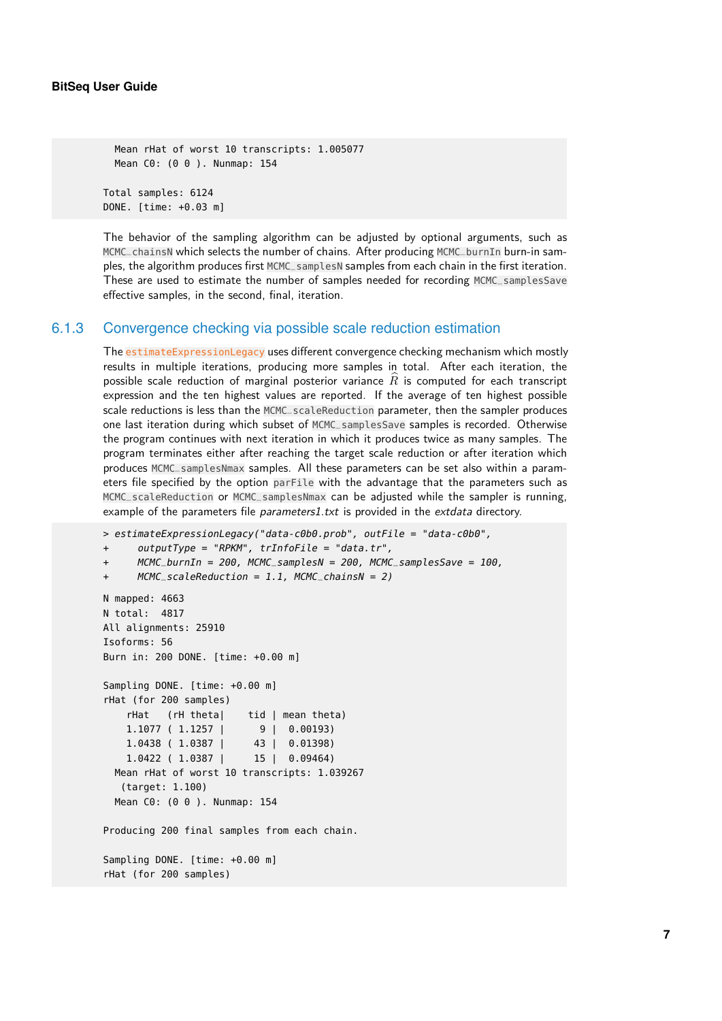Mean rHat of worst 10 transcripts: 1.005077 Mean C0: (0 0 ). Nunmap: 154

Total samples: 6124 DONE. [time: +0.03 m]

The behavior of the sampling algorithm can be adjusted by optional arguments, such as MCMC\_chainsN which selects the number of chains. After producing MCMC\_burnIn burn-in samples, the algorithm produces first MCMC\_samplesN samples from each chain in the first iteration. These are used to estimate the number of samples needed for recording MCMC\_samplesSave effective samples, in the second, final, iteration.

#### 6.1.3 Convergence checking via possible scale reduction estimation

The estimateExpressionLegacy uses different convergence checking mechanism which mostly results in multiple iterations, producing more samples in total. After each iteration, the possible scale reduction of marginal posterior variance  $\widehat{R}$  is computed for each transcript expression and the ten highest values are reported. If the average of ten highest possible scale reductions is less than the MCMC\_scaleReduction parameter, then the sampler produces one last iteration during which subset of MCMC\_samplesSave samples is recorded. Otherwise the program continues with next iteration in which it produces twice as many samples. The program terminates either after reaching the target scale reduction or after iteration which produces MCMC\_samplesNmax samples. All these parameters can be set also within a parameters file specified by the option parFile with the advantage that the parameters such as MCMC\_scaleReduction or MCMC\_samplesNmax can be adjusted while the sampler is running, example of the parameters file parameters1.txt is provided in the extdata directory.

```
> estimateExpressionLegacy("data-c0b0.prob", outFile = "data-c0b0",
```

```
+ outputType = "RPKM", trInfoFile = "data.tr",
```

```
+ MCMC_burnIn = 200, MCMC_samplesN = 200, MCMC_samplesSave = 100,
```

```
MCMC_ScaleReduction = 1.1, MCMC_chainsN = 2)
```

```
N mapped: 4663
N total: 4817
All alignments: 25910
Isoforms: 56
Burn in: 200 DONE. [time: +0.00 m]
Sampling DONE. [time: +0.00 m]
rHat (for 200 samples)
   rHat (rH theta) tid | mean theta)
   1.1077 ( 1.1257 | 9 | 0.00193)
   1.0438 ( 1.0387 | 43 | 0.01398)
   1.0422 ( 1.0387 | 15 | 0.09464)
 Mean rHat of worst 10 transcripts: 1.039267
   (target: 1.100)
 Mean C0: (0 0 ). Nunmap: 154
Producing 200 final samples from each chain.
Sampling DONE. [time: +0.00 m]
rHat (for 200 samples)
```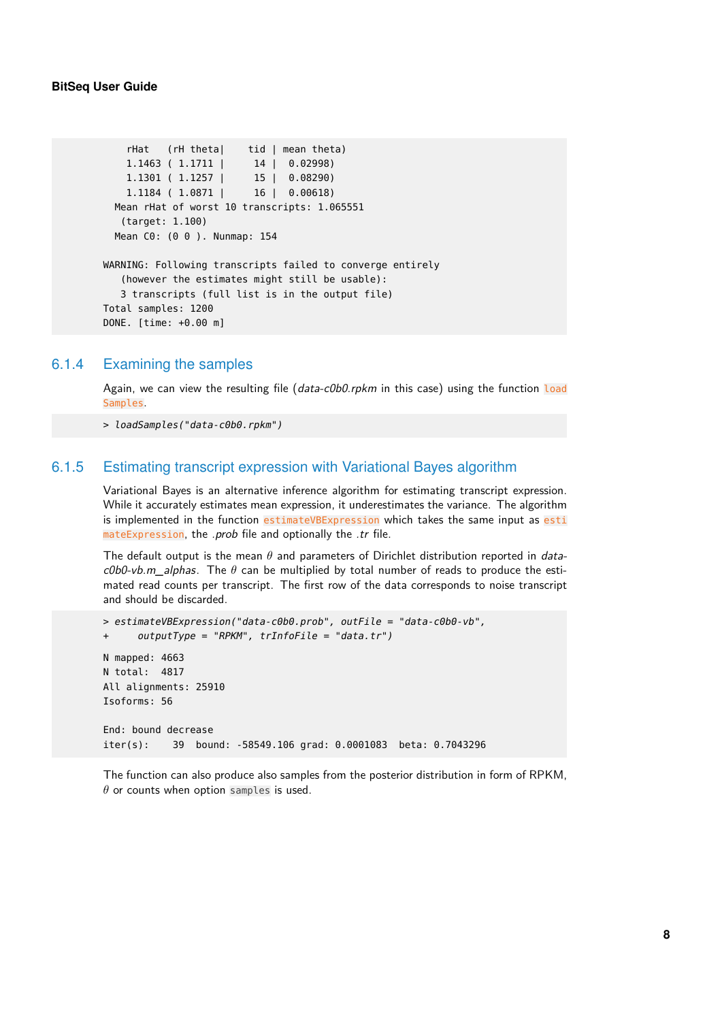```
rHat (rH theta| tid | mean theta)
   1.1463 ( 1.1711 | 14 | 0.02998)
   1.1301 ( 1.1257 | 15 | 0.08290)
   1.1184 ( 1.0871 | 16 | 0.00618)
 Mean rHat of worst 10 transcripts: 1.065551
   (target: 1.100)
 Mean C0: (0 0 ). Nunmap: 154
WARNING: Following transcripts failed to converge entirely
   (however the estimates might still be usable):
  3 transcripts (full list is in the output file)
Total samples: 1200
DONE. [time: +0.00 m]
```
#### 6.1.4 Examining the samples

Again, we can view the resulting file (data-c0b0.rpkm in this case) using the function load Samples.

> loadSamples("data-c0b0.rpkm")

#### 6.1.5 Estimating transcript expression with Variational Bayes algorithm

Variational Bayes is an alternative inference algorithm for estimating transcript expression. While it accurately estimates mean expression, it underestimates the variance. The algorithm is implemented in the function estimateVBExpression which takes the same input as esti mateExpression, the *.prob* file and optionally the *.tr* file.

The default output is the mean  $\theta$  and parameters of Dirichlet distribution reported in data- $\textit{c0b0-vb.m\_alpha}$ . The  $\theta$  can be multiplied by total number of reads to produce the estimated read counts per transcript. The first row of the data corresponds to noise transcript and should be discarded.

```
> estimateVBExpression("data-c0b0.prob", outFile = "data-c0b0-vb",
+ outputType = "RPKM", trInfoFile = "data.tr")
N mapped: 4663
N total: 4817
All alignments: 25910
Isoforms: 56
End: bound decrease
iter(s): 39 bound: -58549.106 grad: 0.0001083 beta: 0.7043296
```
The function can also produce also samples from the posterior distribution in form of RPKM,  $\theta$  or counts when option samples is used.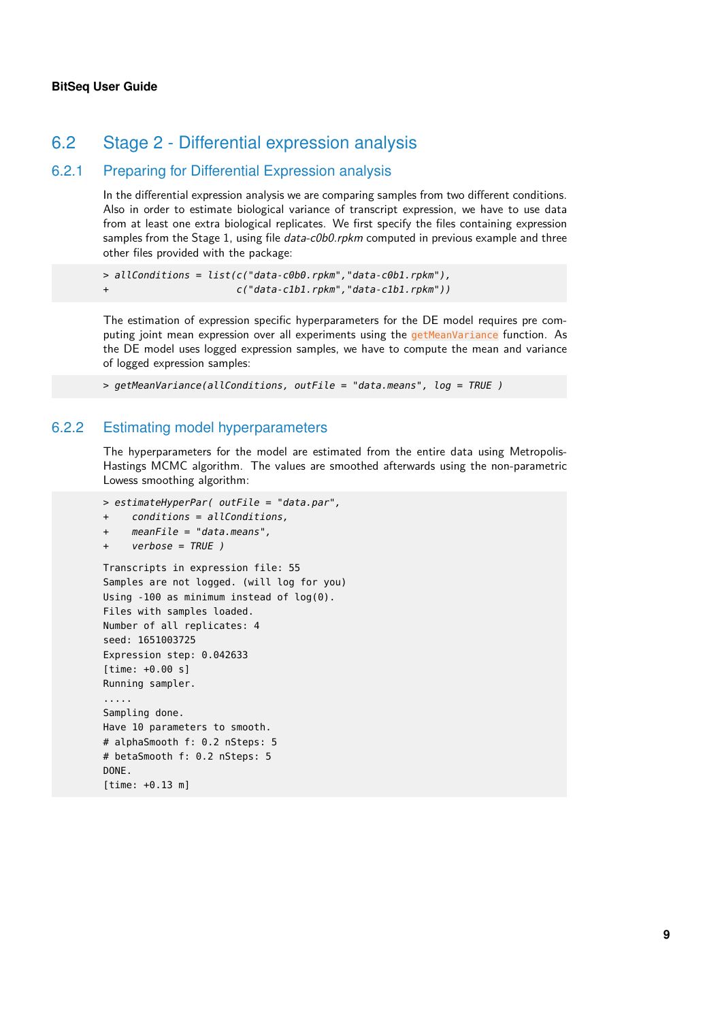### 6.2 Stage 2 - Differential expression analysis

#### 6.2.1 Preparing for Differential Expression analysis

In the differential expression analysis we are comparing samples from two different conditions. Also in order to estimate biological variance of transcript expression, we have to use data from at least one extra biological replicates. We first specify the files containing expression samples from the Stage 1, using file *data-c0b0.rpkm* computed in previous example and three other files provided with the package:

```
> allConditions = list(c("data-c0b0.rpkm","data-c0b1.rpkm"),
+ c("data-c1b1.rpkm","data-c1b1.rpkm"))
```
The estimation of expression specific hyperparameters for the DE model requires pre computing joint mean expression over all experiments using the getMeanVariance function. As the DE model uses logged expression samples, we have to compute the mean and variance of logged expression samples:

```
> getMeanVariance(allConditions, outFile = "data.means", log = TRUE )
```
#### 6.2.2 Estimating model hyperparameters

The hyperparameters for the model are estimated from the entire data using Metropolis-Hastings MCMC algorithm. The values are smoothed afterwards using the non-parametric Lowess smoothing algorithm:

```
> estimateHyperPar( outFile = "data.par",
+ conditions = allConditions,
    meanFile = "data-means",verbose = TRUE )
Transcripts in expression file: 55
Samples are not logged. (will log for you)
Using -100 as minimum instead of log(0).
Files with samples loaded.
Number of all replicates: 4
seed: 1651003725
Expression step: 0.042633
[time: +0.00 s]
Running sampler.
.....
Sampling done.
Have 10 parameters to smooth.
# alphaSmooth f: 0.2 nSteps: 5
# betaSmooth f: 0.2 nSteps: 5
DONE.
[time: +0.13 m]
```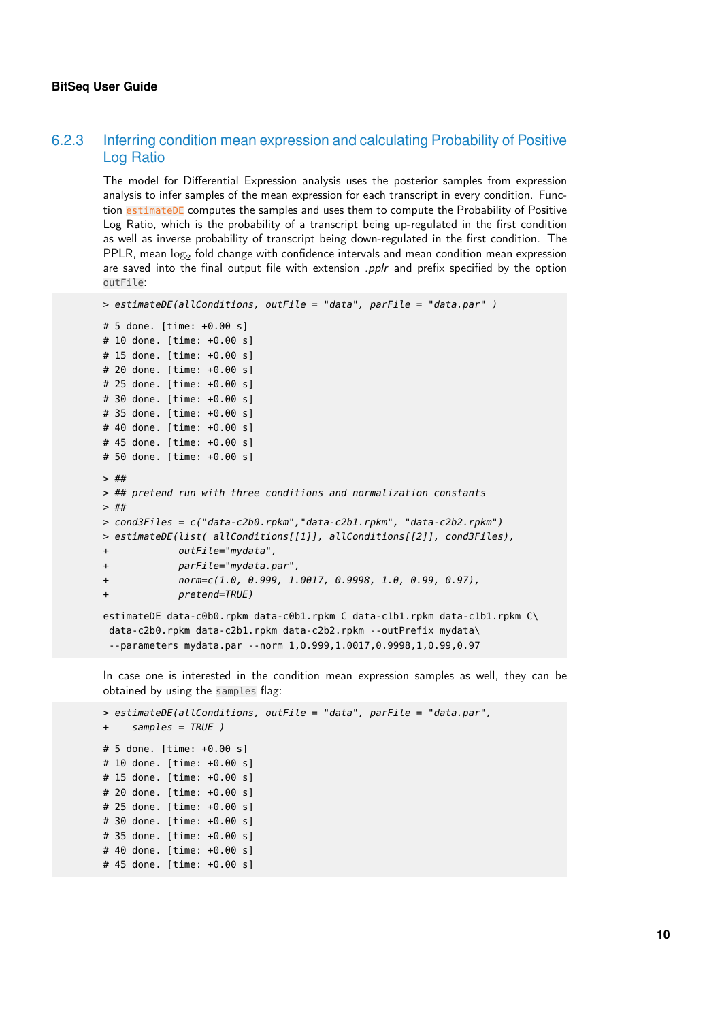#### 6.2.3 Inferring condition mean expression and calculating Probability of Positive Log Ratio

The model for Differential Expression analysis uses the posterior samples from expression analysis to infer samples of the mean expression for each transcript in every condition. Function estimateDE computes the samples and uses them to compute the Probability of Positive Log Ratio, which is the probability of a transcript being up-regulated in the first condition as well as inverse probability of transcript being down-regulated in the first condition. The PPLR, mean  $\log_2$  fold change with confidence intervals and mean condition mean expression are saved into the final output file with extension  $.$  pplr and prefix specified by the option outFile:

```
> estimateDE(allConditions, outFile = "data", parFile = "data.par" )
# 5 done. [time: +0.00 s]
# 10 done. [time: +0.00 s]
# 15 done. [time: +0.00 s]
# 20 done. [time: +0.00 s]
# 25 done. [time: +0.00 s]
# 30 done. [time: +0.00 s]
# 35 done. [time: +0.00 s]
# 40 done. [time: +0.00 s]
# 45 done. [time: +0.00 s]
# 50 done. [time: +0.00 s]
> ##
> ## pretend run with three conditions and normalization constants
> ##
> cond3Files = c("data-c2b0.rpkm","data-c2b1.rpkm", "data-c2b2.rpkm")
> estimateDE(list( allConditions[[1]], allConditions[[2]], cond3Files),
+ outFile="mydata",
+ parFile="mydata.par",
+ norm=c(1.0, 0.999, 1.0017, 0.9998, 1.0, 0.99, 0.97),
+ pretend=TRUE)
estimateDE data-c0b0.rpkm data-c0b1.rpkm C data-c1b1.rpkm data-c1b1.rpkm C\
 data-c2b0.rpkm data-c2b1.rpkm data-c2b2.rpkm --outPrefix mydata\
 --parameters mydata.par --norm 1,0.999,1.0017,0.9998,1,0.99,0.97
```
In case one is interested in the condition mean expression samples as well, they can be obtained by using the samples flag:

```
> estimateDE(allConditions, outFile = "data", parFile = "data.par",
     samples = TRUE )
# 5 done. [time: +0.00 s]
# 10 done. [time: +0.00 s]
# 15 done. [time: +0.00 s]
# 20 done. [time: +0.00 s]
# 25 done. [time: +0.00 s]
# 30 done. [time: +0.00 s]
# 35 done. [time: +0.00 s]
# 40 done. [time: +0.00 s]
# 45 done. [time: +0.00 s]
```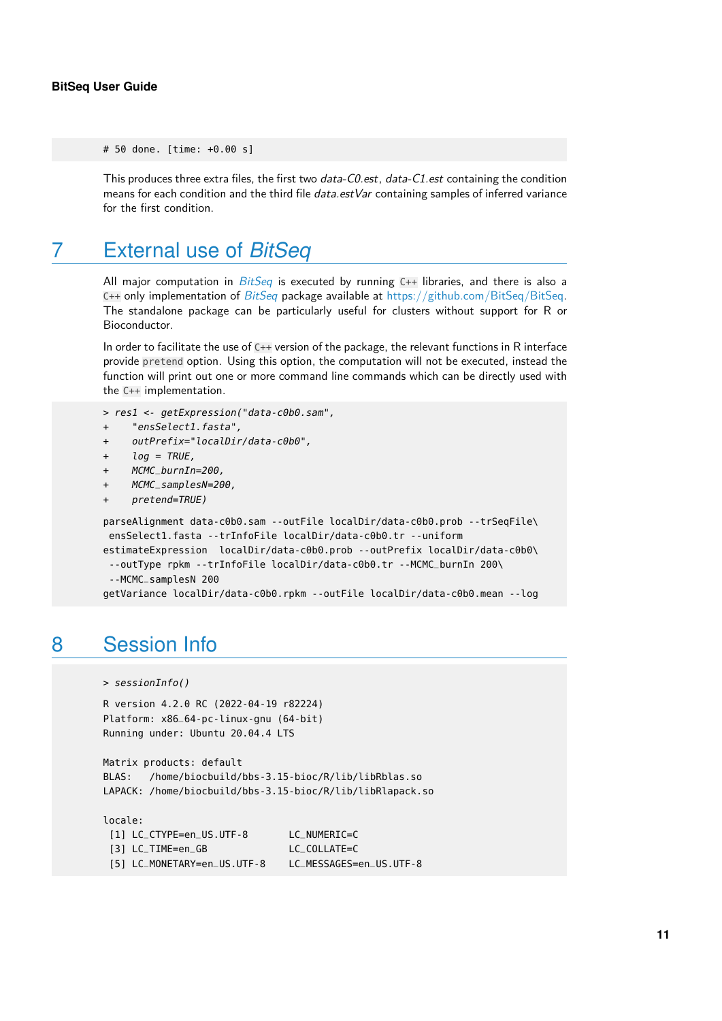# 50 done. [time: +0.00 s]

This produces three extra files, the first two *data-C0.est*, *data-C1.est* containing the condition means for each condition and the third file *data.estVar* containing samples of inferred variance for the first condition.

### 7 External use of *[BitSeq](http://bioconductor.org/packages/BitSeq)*

All major computation in  $BitSeq$  is executed by running  $C++$  libraries, and there is also a C++ only implementation of  $BitSeq$  package available at [https://github.com/BitSeq/BitSeq.](https://github.com/BitSeq/BitSeq) The standalone package can be particularly useful for clusters without support for R or Bioconductor.

In order to facilitate the use of C++ version of the package, the relevant functions in R interface provide pretend option. Using this option, the computation will not be executed, instead the function will print out one or more command line commands which can be directly used with the C++ implementation.

```
> res1 <- getExpression("data-c0b0.sam",
```
- + "ensSelect1.fasta",
- + outPrefix="localDir/data-c0b0",
- + log = TRUE,
- + MCMC\_burnIn=200,
- + MCMC\_samplesN=200,
- pretend=TRUE)

```
parseAlignment data-c0b0.sam --outFile localDir/data-c0b0.prob --trSeqFile\
ensSelect1.fasta --trInfoFile localDir/data-c0b0.tr --uniform
estimateExpression localDir/data-c0b0.prob --outPrefix localDir/data-c0b0\
 --outType rpkm --trInfoFile localDir/data-c0b0.tr --MCMC_burnIn 200\
 --MCMC_samplesN 200
getVariance localDir/data-c0b0.rpkm --outFile localDir/data-c0b0.mean --log
```
## 8 Session Info

> sessionInfo()

```
R version 4.2.0 RC (2022-04-19 r82224)
Platform: x86_64-pc-linux-gnu (64-bit)
Running under: Ubuntu 20.04.4 LTS
```

```
Matrix products: default
BLAS: /home/biocbuild/bbs-3.15-bioc/R/lib/libRblas.so
LAPACK: /home/biocbuild/bbs-3.15-bioc/R/lib/libRlapack.so
```
locale:

| [1] LC_CTYPE=en_US.UTF-8    | LC_NUMERIC=C            |
|-----------------------------|-------------------------|
| [3] LC_TIME=en_GB           | LC COLLATE=C            |
| [5] LC_MONETARY=en_US.UTF-8 | LC_MESSAGES=en_US.UTF-8 |